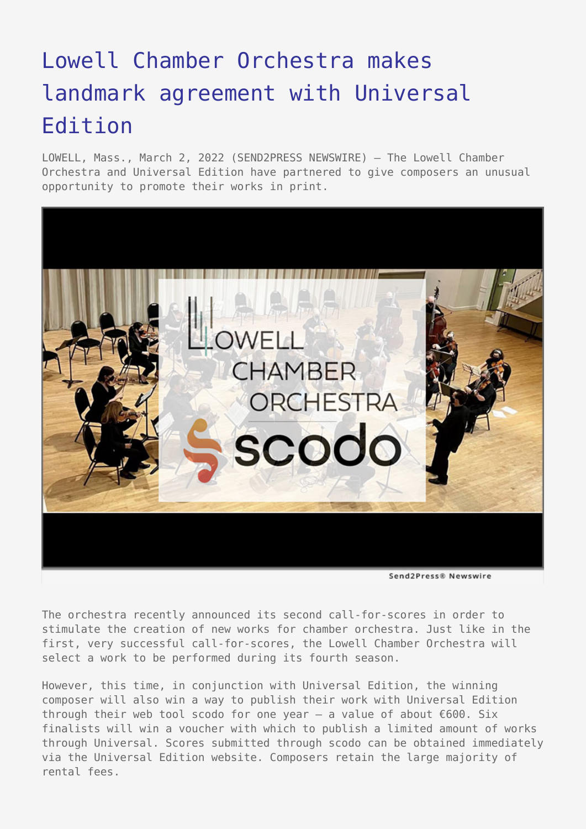## [Lowell Chamber Orchestra makes](https://www.send2press.com/wire/lowell-chamber-orchestra-makes-landmark-agreement-with-universal-edition/) [landmark agreement with Universal](https://www.send2press.com/wire/lowell-chamber-orchestra-makes-landmark-agreement-with-universal-edition/) [Edition](https://www.send2press.com/wire/lowell-chamber-orchestra-makes-landmark-agreement-with-universal-edition/)

LOWELL, Mass., March 2, 2022 (SEND2PRESS NEWSWIRE) — The Lowell Chamber Orchestra and Universal Edition have partnered to give composers an unusual opportunity to promote their works in print.



Send2Press® Newswire

The orchestra recently announced its second call-for-scores in order to stimulate the creation of new works for chamber orchestra. Just like in the first, very successful call-for-scores, the Lowell Chamber Orchestra will select a work to be performed during its fourth season.

However, this time, in conjunction with Universal Edition, the winning composer will also win a way to publish their work with Universal Edition through their web tool scodo for one year – a value of about €600. Six finalists will win a voucher with which to publish a limited amount of works through Universal. Scores submitted through scodo can be obtained immediately via the Universal Edition website. Composers retain the large majority of rental fees.